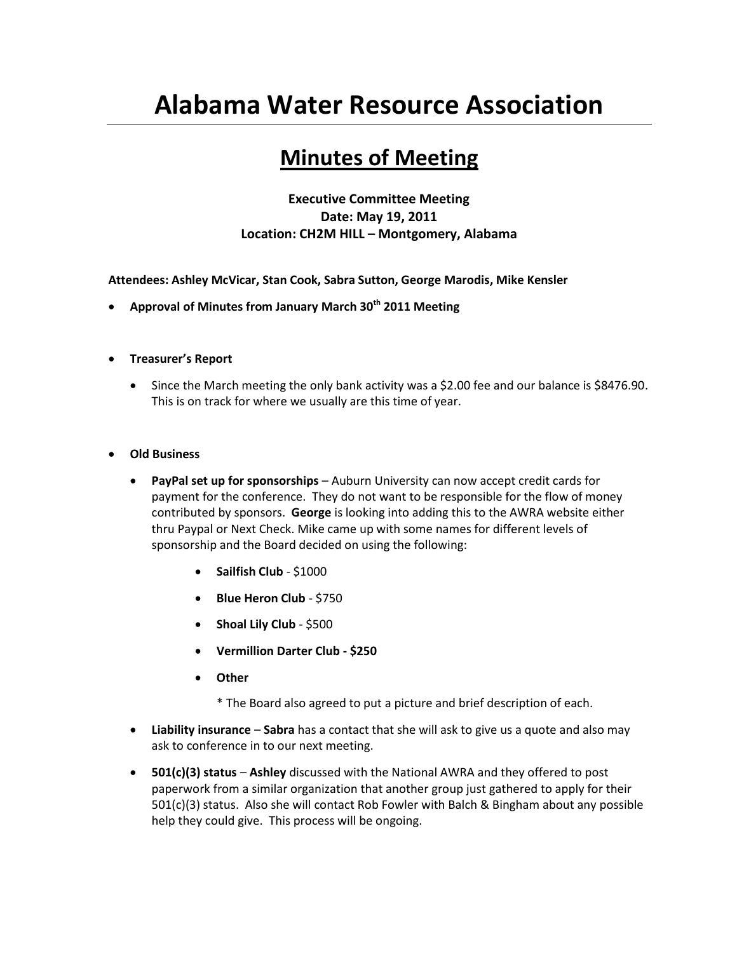## **Alabama Water Resource Association**

## **Minutes of Meeting**

**Executive Committee Meeting Date: May 19, 2011 Location: CH2M HILL – Montgomery, Alabama**

**Attendees: Ashley McVicar, Stan Cook, Sabra Sutton, George Marodis, Mike Kensler**

- **Approval of Minutes from January March 30th 2011 Meeting**
- **Treasurer's Report**
	- Since the March meeting the only bank activity was a \$2.00 fee and our balance is \$8476.90. This is on track for where we usually are this time of year.
- **Old Business**
	- **PayPal set up for sponsorships** Auburn University can now accept credit cards for payment for the conference. They do not want to be responsible for the flow of money contributed by sponsors. **George** is looking into adding this to the AWRA website either thru Paypal or Next Check. Mike came up with some names for different levels of sponsorship and the Board decided on using the following:
		- **Sailfish Club**  \$1000
		- **Blue Heron Club**  \$750
		- **Shoal Lily Club**  \$500
		- **Vermillion Darter Club - \$250**
		- **Other** 
			- \* The Board also agreed to put a picture and brief description of each.
	- **Liability insurance Sabra** has a contact that she will ask to give us a quote and also may ask to conference in to our next meeting.
	- **501(c)(3) status Ashley** discussed with the National AWRA and they offered to post paperwork from a similar organization that another group just gathered to apply for their 501(c)(3) status. Also she will contact Rob Fowler with Balch & Bingham about any possible help they could give. This process will be ongoing.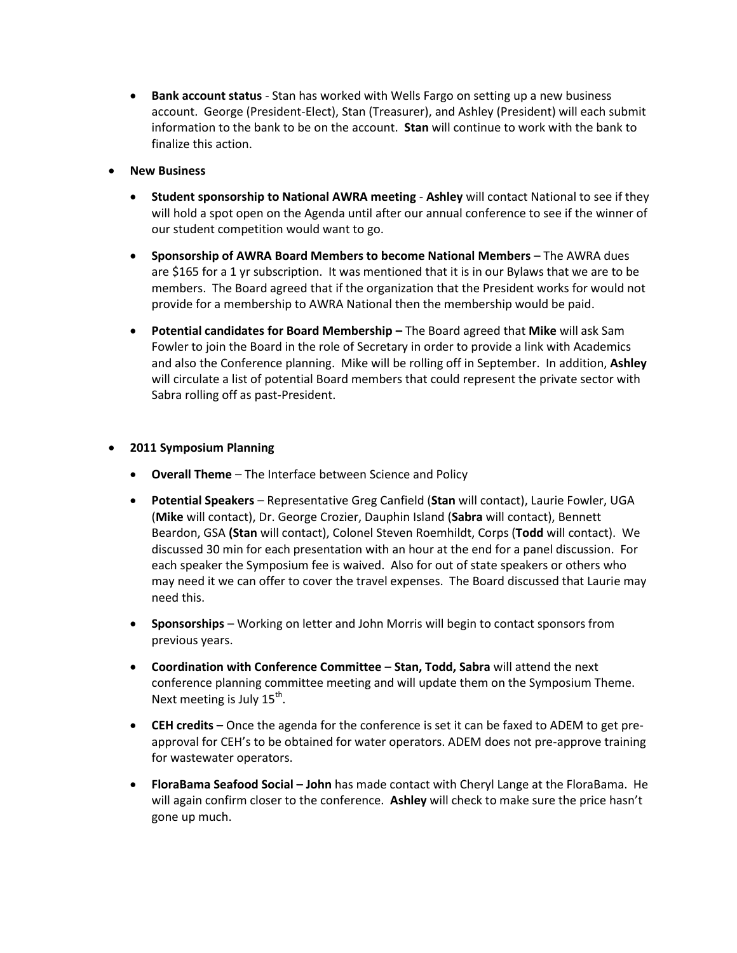- **Bank account status** Stan has worked with Wells Fargo on setting up a new business account. George (President-Elect), Stan (Treasurer), and Ashley (President) will each submit information to the bank to be on the account. **Stan** will continue to work with the bank to finalize this action.
- **New Business**
	- **Student sponsorship to National AWRA meeting Ashley** will contact National to see if they will hold a spot open on the Agenda until after our annual conference to see if the winner of our student competition would want to go.
	- **Sponsorship of AWRA Board Members to become National Members The AWRA dues** are \$165 for a 1 yr subscription. It was mentioned that it is in our Bylaws that we are to be members. The Board agreed that if the organization that the President works for would not provide for a membership to AWRA National then the membership would be paid.
	- **Potential candidates for Board Membership –** The Board agreed that **Mike** will ask Sam Fowler to join the Board in the role of Secretary in order to provide a link with Academics and also the Conference planning. Mike will be rolling off in September. In addition, **Ashley**  will circulate a list of potential Board members that could represent the private sector with Sabra rolling off as past-President.

## **2011 Symposium Planning**

- **Overall Theme** The Interface between Science and Policy
- **Potential Speakers** Representative Greg Canfield (**Stan** will contact), Laurie Fowler, UGA (**Mike** will contact), Dr. George Crozier, Dauphin Island (**Sabra** will contact), Bennett Beardon, GSA **(Stan** will contact), Colonel Steven Roemhildt, Corps (**Todd** will contact). We discussed 30 min for each presentation with an hour at the end for a panel discussion. For each speaker the Symposium fee is waived. Also for out of state speakers or others who may need it we can offer to cover the travel expenses. The Board discussed that Laurie may need this.
- **Sponsorships** Working on letter and John Morris will begin to contact sponsors from previous years.
- **Coordination with Conference Committee Stan, Todd, Sabra** will attend the next conference planning committee meeting and will update them on the Symposium Theme. Next meeting is July 15<sup>th</sup>.
- **CEH credits –** Once the agenda for the conference is set it can be faxed to ADEM to get preapproval for CEH's to be obtained for water operators. ADEM does not pre-approve training for wastewater operators.
- **FloraBama Seafood Social – John** has made contact with Cheryl Lange at the FloraBama. He will again confirm closer to the conference. **Ashley** will check to make sure the price hasn't gone up much.